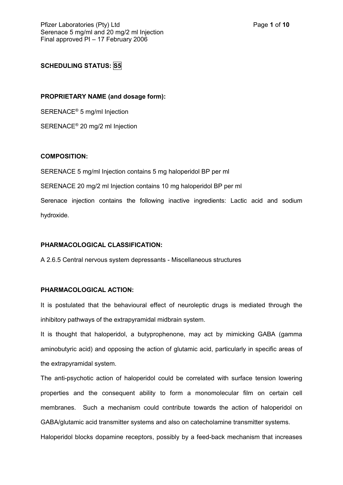# **SCHEDULING STATUS: S5**

#### **PROPRIETARY NAME (and dosage form):**

SERENACE® 5 mg/ml Injection

SERENACE® 20 mg/2 ml Injection

## **COMPOSITION:**

SERENACE 5 mg/ml Injection contains 5 mg haloperidol BP per ml

SERENACE 20 mg/2 ml Injection contains 10 mg haloperidol BP per ml

Serenace injection contains the following inactive ingredients: Lactic acid and sodium hydroxide.

#### **PHARMACOLOGICAL CLASSIFICATION:**

A 2.6.5 Central nervous system depressants - Miscellaneous structures

## **PHARMACOLOGICAL ACTION:**

It is postulated that the behavioural effect of neuroleptic drugs is mediated through the inhibitory pathways of the extrapyramidal midbrain system.

It is thought that haloperidol, a butyprophenone, may act by mimicking GABA (gamma aminobutyric acid) and opposing the action of glutamic acid, particularly in specific areas of the extrapyramidal system.

The anti-psychotic action of haloperidol could be correlated with surface tension lowering properties and the consequent ability to form a monomolecular film on certain cell membranes. Such a mechanism could contribute towards the action of haloperidol on GABA/glutamic acid transmitter systems and also on catecholamine transmitter systems.

Haloperidol blocks dopamine receptors, possibly by a feed-back mechanism that increases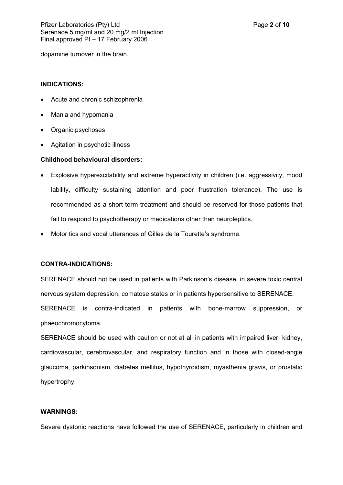dopamine turnover in the brain.

## **INDICATIONS:**

- Acute and chronic schizophrenia
- Mania and hypomania
- Organic psychoses
- Agitation in psychotic illness

## **Childhood behavioural disorders:**

- Explosive hyperexcitability and extreme hyperactivity in children (i.e. aggressivity, mood lability, difficulty sustaining attention and poor frustration tolerance). The use is recommended as a short term treatment and should be reserved for those patients that fail to respond to psychotherapy or medications other than neuroleptics.
- Motor tics and vocal utterances of Gilles de la Tourette's syndrome.

# **CONTRA-INDICATIONS:**

SERENACE should not be used in patients with Parkinson's disease, in severe toxic central nervous system depression, comatose states or in patients hypersensitive to SERENACE. SERENACE is contra-indicated in patients with bone-marrow suppression, or phaeochromocytoma.

SERENACE should be used with caution or not at all in patients with impaired liver, kidney, cardiovascular, cerebrovascular, and respiratory function and in those with closed-angle glaucoma, parkinsonism, diabetes mellitus, hypothyroidism, myasthenia gravis, or prostatic hypertrophy.

#### **WARNINGS:**

Severe dystonic reactions have followed the use of SERENACE, particularly in children and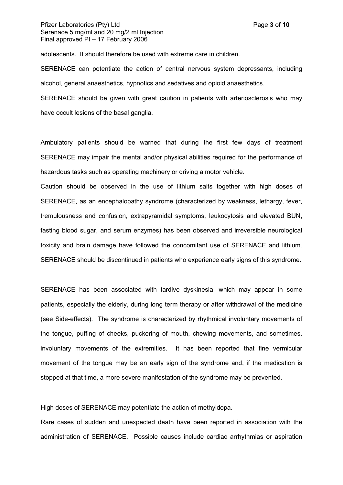## Pfizer Laboratories (Ptv) Ltd **Page 10** and Page **3** of **10** Serenace 5 mg/ml and 20 mg/2 ml Injection Final approved PI – 17 February 2006

adolescents. It should therefore be used with extreme care in children.

SERENACE can potentiate the action of central nervous system depressants, including alcohol, general anaesthetics, hypnotics and sedatives and opioid anaesthetics.

SERENACE should be given with great caution in patients with arteriosclerosis who may have occult lesions of the basal ganglia.

Ambulatory patients should be warned that during the first few days of treatment SERENACE may impair the mental and/or physical abilities required for the performance of hazardous tasks such as operating machinery or driving a motor vehicle.

Caution should be observed in the use of lithium salts together with high doses of SERENACE, as an encephalopathy syndrome (characterized by weakness, lethargy, fever, tremulousness and confusion, extrapyramidal symptoms, leukocytosis and elevated BUN, fasting blood sugar, and serum enzymes) has been observed and irreversible neurological toxicity and brain damage have followed the concomitant use of SERENACE and lithium. SERENACE should be discontinued in patients who experience early signs of this syndrome.

SERENACE has been associated with tardive dyskinesia, which may appear in some patients, especially the elderly, during long term therapy or after withdrawal of the medicine (see Side-effects). The syndrome is characterized by rhythmical involuntary movements of the tongue, puffing of cheeks, puckering of mouth, chewing movements, and sometimes, involuntary movements of the extremities. It has been reported that fine vermicular movement of the tongue may be an early sign of the syndrome and, if the medication is stopped at that time, a more severe manifestation of the syndrome may be prevented.

High doses of SERENACE may potentiate the action of methyldopa.

Rare cases of sudden and unexpected death have been reported in association with the administration of SERENACE. Possible causes include cardiac arrhythmias or aspiration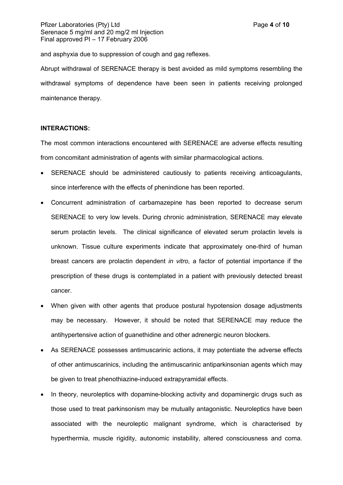## Pfizer Laboratories (Ptv) Ltd **Page 1** of **10 Page 4** of **10** Serenace 5 mg/ml and 20 mg/2 ml Injection Final approved PI – 17 February 2006

and asphyxia due to suppression of cough and gag reflexes.

Abrupt withdrawal of SERENACE therapy is best avoided as mild symptoms resembling the withdrawal symptoms of dependence have been seen in patients receiving prolonged maintenance therapy.

## **INTERACTIONS:**

The most common interactions encountered with SERENACE are adverse effects resulting from concomitant administration of agents with similar pharmacological actions.

- SERENACE should be administered cautiously to patients receiving anticoagulants, since interference with the effects of phenindione has been reported.
- Concurrent administration of carbamazepine has been reported to decrease serum SERENACE to very low levels. During chronic administration, SERENACE may elevate serum prolactin levels. The clinical significance of elevated serum prolactin levels is unknown. Tissue culture experiments indicate that approximately one-third of human breast cancers are prolactin dependent *in vitro*, a factor of potential importance if the prescription of these drugs is contemplated in a patient with previously detected breast cancer.
- When given with other agents that produce postural hypotension dosage adjustments may be necessary. However, it should be noted that SERENACE may reduce the antihypertensive action of guanethidine and other adrenergic neuron blockers.
- As SERENACE possesses antimuscarinic actions, it may potentiate the adverse effects of other antimuscarinics, including the antimuscarinic antiparkinsonian agents which may be given to treat phenothiazine-induced extrapyramidal effects.
- In theory, neuroleptics with dopamine-blocking activity and dopaminergic drugs such as those used to treat parkinsonism may be mutually antagonistic. Neuroleptics have been associated with the neuroleptic malignant syndrome, which is characterised by hyperthermia, muscle rigidity, autonomic instability, altered consciousness and coma.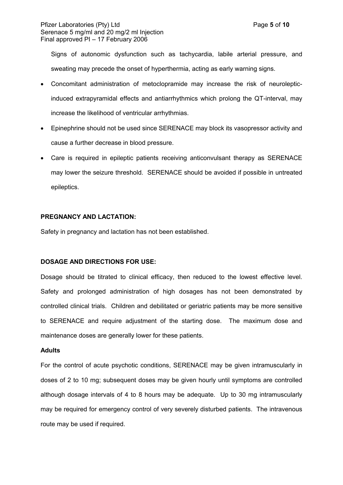## Pfizer Laboratories (Ptv) Ltd **Page 10** and Page 10 **Page 5** of **10** Serenace 5 mg/ml and 20 mg/2 ml Injection Final approved PI – 17 February 2006

Signs of autonomic dysfunction such as tachycardia, labile arterial pressure, and sweating may precede the onset of hyperthermia, acting as early warning signs.

- Concomitant administration of metoclopramide may increase the risk of neurolepticinduced extrapyramidal effects and antiarrhythmics which prolong the QT-interval, may increase the likelihood of ventricular arrhythmias.
- Epinephrine should not be used since SERENACE may block its vasopressor activity and cause a further decrease in blood pressure.
- Care is required in epileptic patients receiving anticonvulsant therapy as SERENACE may lower the seizure threshold. SERENACE should be avoided if possible in untreated epileptics.

# **PREGNANCY AND LACTATION:**

Safety in pregnancy and lactation has not been established.

## **DOSAGE AND DIRECTIONS FOR USE:**

Dosage should be titrated to clinical efficacy, then reduced to the lowest effective level. Safety and prolonged administration of high dosages has not been demonstrated by controlled clinical trials. Children and debilitated or geriatric patients may be more sensitive to SERENACE and require adjustment of the starting dose. The maximum dose and maintenance doses are generally lower for these patients.

## **Adults**

For the control of acute psychotic conditions, SERENACE may be given intramuscularly in doses of 2 to 10 mg; subsequent doses may be given hourly until symptoms are controlled although dosage intervals of 4 to 8 hours may be adequate. Up to 30 mg intramuscularly may be required for emergency control of very severely disturbed patients. The intravenous route may be used if required.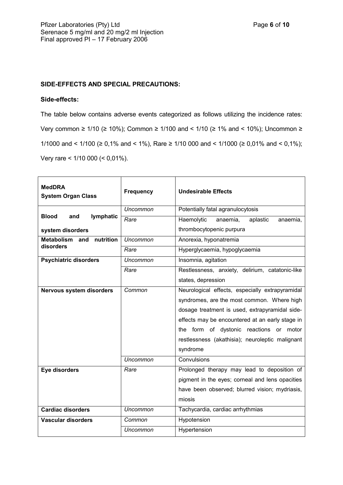# **SIDE-EFFECTS AND SPECIAL PRECAUTIONS:**

## **Side-effects:**

The table below contains adverse events categorized as follows utilizing the incidence rates: Very common ≥ 1/10 (≥ 10%); Common ≥ 1/100 and < 1/10 (≥ 1% and < 10%); Uncommon ≥ 1/1000 and < 1/100 (≥ 0,1% and < 1%), Rare ≥ 1/10 000 and < 1/1000 (≥ 0,01% and < 0,1%); Very rare < 1/10 000 (< 0,01%).

| <b>MedDRA</b><br><b>System Organ Class</b>         | <b>Frequency</b> | <b>Undesirable Effects</b>                      |
|----------------------------------------------------|------------------|-------------------------------------------------|
| <b>Blood</b><br>lymphatic<br>and                   | <b>Uncommon</b>  | Potentially fatal agranulocytosis               |
|                                                    | Rare             | Haemolytic<br>aplastic<br>anaemia,<br>anaemia,  |
| system disorders                                   |                  | thrombocytopenic purpura                        |
| nutrition<br><b>Metabolism</b><br>and<br>disorders | Uncommon         | Anorexia, hyponatremia                          |
|                                                    | Rare             | Hyperglycaemia, hypoglycaemia                   |
| <b>Psychiatric disorders</b>                       | <b>Uncommon</b>  | Insomnia, agitation                             |
|                                                    | Rare             | Restlessness, anxiety, delirium, catatonic-like |
|                                                    |                  | states, depression                              |
| <b>Nervous system disorders</b>                    | Common           | Neurological effects, especially extrapyramidal |
|                                                    |                  | syndromes, are the most common. Where high      |
|                                                    |                  | dosage treatment is used, extrapyramidal side-  |
|                                                    |                  | effects may be encountered at an early stage in |
|                                                    |                  | the form of dystonic reactions or motor         |
|                                                    |                  | restlessness (akathisia); neuroleptic malignant |
|                                                    |                  | syndrome                                        |
|                                                    | <b>Uncommon</b>  | Convulsions                                     |
| Eye disorders                                      | Rare             | Prolonged therapy may lead to deposition of     |
|                                                    |                  | pigment in the eyes; corneal and lens opacities |
|                                                    |                  | have been observed; blurred vision; mydriasis,  |
|                                                    |                  | miosis                                          |
| <b>Cardiac disorders</b>                           | Uncommon         | Tachycardia, cardiac arrhythmias                |
| <b>Vascular disorders</b>                          | Common           | Hypotension                                     |
|                                                    | Uncommon         | Hypertension                                    |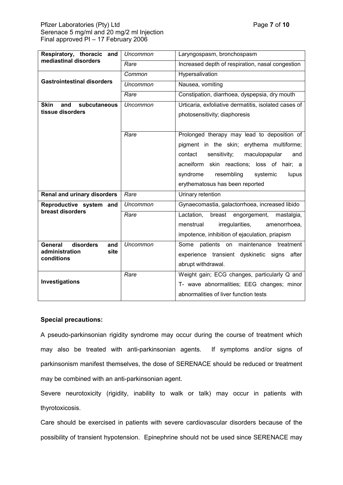## Pfizer Laboratories (Pty) Ltd **Pfizer Laboratories** (Pty) Ltd **Page 7** of 10 Serenace 5 mg/ml and 20 mg/2 ml Injection Final approved PI – 17 February 2006

| Respiratory, thoracic and<br>mediastinal disorders                  | <b>Uncommon</b> | Laryngospasm, bronchospasm                                                            |
|---------------------------------------------------------------------|-----------------|---------------------------------------------------------------------------------------|
|                                                                     | Rare            | Increased depth of respiration, nasal congestion                                      |
| <b>Gastrointestinal disorders</b>                                   | Common          | Hypersalivation                                                                       |
|                                                                     | <b>Uncommon</b> | Nausea, vomiting                                                                      |
|                                                                     | Rare            | Constipation, diarrhoea, dyspepsia, dry mouth                                         |
| <b>Skin</b><br>and<br>subcutaneous<br>tissue disorders              | <b>Uncommon</b> | Urticaria, exfoliative dermatitis, isolated cases of<br>photosensitivity; diaphoresis |
|                                                                     |                 |                                                                                       |
|                                                                     | Rare            | Prolonged therapy may lead to deposition of                                           |
|                                                                     |                 | pigment in the skin; erythema multiforme;                                             |
|                                                                     |                 | sensitivity;<br>maculopapular<br>contact<br>and                                       |
|                                                                     |                 | acneiform skin reactions; loss of hair; a                                             |
|                                                                     |                 | resembling<br>syndrome<br>systemic<br>lupus                                           |
|                                                                     |                 | erythematosus has been reported                                                       |
| <b>Renal and urinary disorders</b>                                  | Rare            | Urinary retention                                                                     |
| Reproductive system and<br>breast disorders                         | Uncommon        | Gynaecomastia, galactorrhoea, increased libido                                        |
|                                                                     | Rare            | Lactation,<br>breast engorgement,<br>mastalgia,                                       |
|                                                                     |                 | irregularities,<br>menstrual<br>amenorrhoea,                                          |
|                                                                     |                 | impotence, inhibition of ejaculation, priapism                                        |
| disorders<br>General<br>and<br>administration<br>site<br>conditions | Uncommon        | Some patients<br>on maintenance treatment                                             |
|                                                                     |                 | experience transient dyskinetic signs<br>after                                        |
|                                                                     |                 | abrupt withdrawal.                                                                    |
| Investigations                                                      | Rare            | Weight gain; ECG changes, particularly Q and                                          |
|                                                                     |                 | T- wave abnormalities; EEG changes; minor                                             |
|                                                                     |                 | abnormalities of liver function tests                                                 |

## **Special precautions:**

A pseudo-parkinsonian rigidity syndrome may occur during the course of treatment which may also be treated with anti-parkinsonian agents. If symptoms and/or signs of parkinsonism manifest themselves, the dose of SERENACE should be reduced or treatment may be combined with an anti-parkinsonian agent.

Severe neurotoxicity (rigidity, inability to walk or talk) may occur in patients with thyrotoxicosis.

Care should be exercised in patients with severe cardiovascular disorders because of the possibility of transient hypotension. Epinephrine should not be used since SERENACE may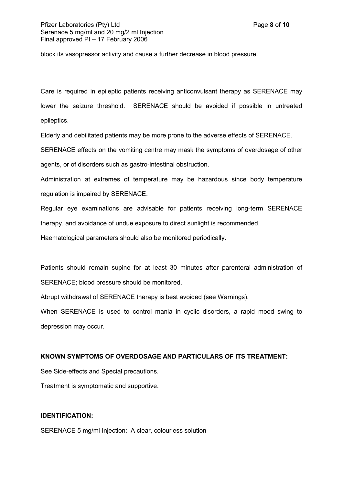## Pfizer Laboratories (Ptv) Ltd **Page 10** and Page **8** of **10** and Page 8 of **10** Serenace 5 mg/ml and 20 mg/2 ml Injection Final approved PI – 17 February 2006

block its vasopressor activity and cause a further decrease in blood pressure.

Care is required in epileptic patients receiving anticonvulsant therapy as SERENACE may lower the seizure threshold. SERENACE should be avoided if possible in untreated epileptics.

Elderly and debilitated patients may be more prone to the adverse effects of SERENACE.

SERENACE effects on the vomiting centre may mask the symptoms of overdosage of other agents, or of disorders such as gastro-intestinal obstruction.

Administration at extremes of temperature may be hazardous since body temperature regulation is impaired by SERENACE.

Regular eye examinations are advisable for patients receiving long-term SERENACE therapy, and avoidance of undue exposure to direct sunlight is recommended.

Haematological parameters should also be monitored periodically.

Patients should remain supine for at least 30 minutes after parenteral administration of SERENACE; blood pressure should be monitored.

Abrupt withdrawal of SERENACE therapy is best avoided (see Warnings).

When SERENACE is used to control mania in cyclic disorders, a rapid mood swing to depression may occur.

## **KNOWN SYMPTOMS OF OVERDOSAGE AND PARTICULARS OF ITS TREATMENT:**

See Side-effects and Special precautions.

Treatment is symptomatic and supportive.

## **IDENTIFICATION:**

SERENACE 5 mg/ml Injection: A clear, colourless solution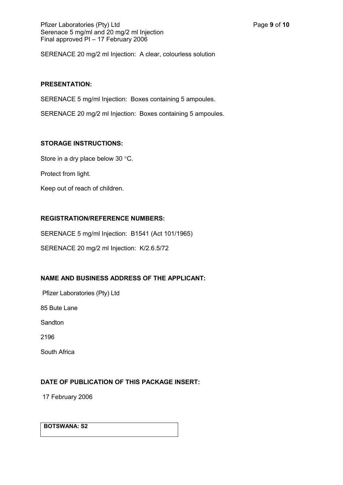SERENACE 20 mg/2 ml Injection: A clear, colourless solution

## **PRESENTATION:**

SERENACE 5 mg/ml Injection: Boxes containing 5 ampoules.

SERENACE 20 mg/2 ml Injection: Boxes containing 5 ampoules.

## **STORAGE INSTRUCTIONS:**

Store in a dry place below 30 °C.

Protect from light.

Keep out of reach of children.

# **REGISTRATION/REFERENCE NUMBERS:**

SERENACE 5 mg/ml Injection: B1541 (Act 101/1965)

SERENACE 20 mg/2 ml Injection: K/2.6.5/72

# **NAME AND BUSINESS ADDRESS OF THE APPLICANT:**

Pfizer Laboratories (Pty) Ltd

85 Bute Lane

**Sandton** 

2196

South Africa

# **DATE OF PUBLICATION OF THIS PACKAGE INSERT:**

17 February 2006

**BOTSWANA: S2**